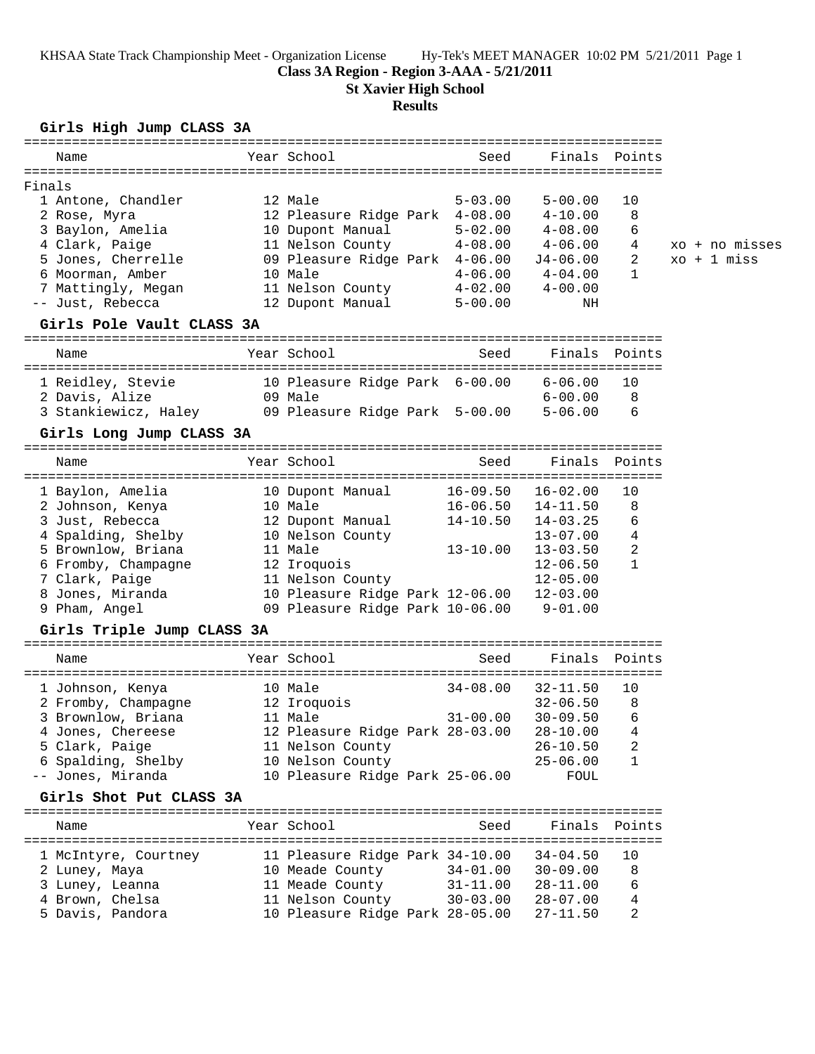KHSAA State Track Championship Meet - Organization License Hy-Tek's MEET MANAGER 10:02 PM 5/21/2011 Page 1

### **Class 3A Region - Region 3-AAA - 5/21/2011**

**St Xavier High School**

# **Results**

## **Girls High Jump CLASS 3A**

| Name                                              |         | Year School                          | Seed                     |                       | Finals Points |                |
|---------------------------------------------------|---------|--------------------------------------|--------------------------|-----------------------|---------------|----------------|
| Finals                                            |         |                                      |                          |                       |               |                |
| 1 Antone, Chandler                                |         | 12 Male                              | $5 - 03.00$              | $5 - 00.00$           | 10            |                |
| 2 Rose, Myra                                      |         | 12 Pleasure Ridge Park 4-08.00       |                          | $4 - 10.00$           | 8             |                |
| 3 Baylon, Amelia                                  |         | 10 Dupont Manual                     | $5 - 02.00$              | $4 - 08.00$           | 6             |                |
| 4 Clark, Paige                                    |         | 11 Nelson County                     | $4 - 08.00$              | $4 - 06.00$           | 4             | xo + no misses |
| 5 Jones, Cherrelle                                |         | 09 Pleasure Ridge Park 4-06.00       |                          | J4-06.00              | 2             | $xo + 1 miss$  |
|                                                   |         |                                      |                          |                       | $\mathbf{1}$  |                |
| 6 Moorman, Amber                                  |         | 10 Male                              | 4-06.00                  | $4 - 04.00$           |               |                |
| 7 Mattingly, Megan<br>-- Just, Rebecca            |         | 11 Nelson County<br>12 Dupont Manual | $4-02.00$<br>$5 - 00.00$ | $4 - 00.00$<br>NH     |               |                |
|                                                   |         |                                      |                          |                       |               |                |
| Girls Pole Vault CLASS 3A                         |         |                                      |                          |                       |               |                |
| Name                                              |         | Year School                          | Seed                     |                       | Finals Points |                |
|                                                   |         |                                      |                          |                       |               |                |
| 1 Reidley, Stevie                                 |         | 10 Pleasure Ridge Park 6-00.00       |                          | 6-06.00               | 10            |                |
| 2 Davis, Alize                                    |         | 09 Male                              |                          | $6 - 00.00$           | 8             |                |
| 3 Stankiewicz, Haley                              |         | 09 Pleasure Ridge Park 5-00.00       |                          | $5 - 06.00$           | 6             |                |
| Girls Long Jump CLASS 3A                          |         |                                      |                          |                       |               |                |
|                                                   |         |                                      |                          |                       |               |                |
| Name                                              |         | Year School                          | Seed                     |                       | Finals Points |                |
| 1 Baylon, Amelia                                  |         | 10 Dupont Manual                     |                          | $16-09.50$ $16-02.00$ | 10            |                |
| 2 Johnson, Kenya                                  |         | 10 Male                              | 16-06.50                 | 14-11.50              | 8             |                |
| 3 Just, Rebecca                                   |         | 12 Dupont Manual                     | $14 - 10.50$             | 14-03.25              | 6             |                |
| 4 Spalding, Shelby                                |         | 10 Nelson County                     |                          | 13-07.00              | 4             |                |
| 5 Brownlow, Briana                                |         | 11 Male                              | $13 - 10.00$             | $13 - 03.50$          | 2             |                |
| 6 Fromby, Champagne                               |         |                                      |                          | $12 - 06.50$          | $\mathbf{1}$  |                |
|                                                   |         | 12 Iroquois                          |                          |                       |               |                |
| 7 Clark, Paige                                    |         | 11 Nelson County                     |                          | $12 - 05.00$          |               |                |
| 8 Jones, Miranda                                  |         | 10 Pleasure Ridge Park 12-06.00      |                          | $12 - 03.00$          |               |                |
| 9 Pham, Angel                                     |         | 09 Pleasure Ridge Park 10-06.00      |                          | $9 - 01.00$           |               |                |
| Girls Triple Jump CLASS 3A                        |         |                                      |                          |                       |               |                |
| Name                                              |         | Year School                          | Seed                     | Finals                | Points        |                |
|                                                   |         |                                      |                          |                       |               |                |
| 1 Johnson, Kenya                                  | 10 Male |                                      | $34 - 08.00$             | $32 - 11.50$          | 10            |                |
| 2 Fromby, Champagne                               |         | 12 Iroquois                          |                          | $32 - 06.50$          | 8             |                |
| 3 Brownlow, Briana                                |         | 11 Male                              | $31 - 00.00$             | $30 - 09.50$          | 6             |                |
| 4 Jones, Chereese 12 Pleasure Ridge Park 28-03.00 |         |                                      |                          | $28 - 10.00$          | 4             |                |
| 5 Clark, Paige                                    |         | 11 Nelson County                     |                          | $26 - 10.50$          | 2             |                |
| 6 Spalding, Shelby                                |         | 10 Nelson County                     |                          | $25 - 06.00$          | 1             |                |
| -- Jones, Miranda                                 |         | 10 Pleasure Ridge Park 25-06.00      |                          | FOUL                  |               |                |
| Girls Shot Put CLASS 3A                           |         |                                      |                          |                       |               |                |
|                                                   |         | Year School                          | Seed                     |                       | Finals Points |                |
| Name                                              |         |                                      |                          |                       |               |                |
| 1 McIntyre, Courtney                              |         | 11 Pleasure Ridge Park 34-10.00      |                          | 34-04.50              | 10            |                |
| 2 Luney, Maya                                     |         | 10 Meade County 34-01.00 30-09.00    |                          |                       | 8             |                |
| 3 Luney, Leanna                                   |         | 11 Meade County                      | $31 - 11.00$             | 28-11.00              | 6             |                |
| 4 Brown, Chelsa                                   |         | 11 Nelson County                     | $30 - 03.00$             | $28 - 07.00$          | 4             |                |
| 5 Davis, Pandora                                  |         | 10 Pleasure Ridge Park 28-05.00      |                          | $27 - 11.50$          | 2             |                |
|                                                   |         |                                      |                          |                       |               |                |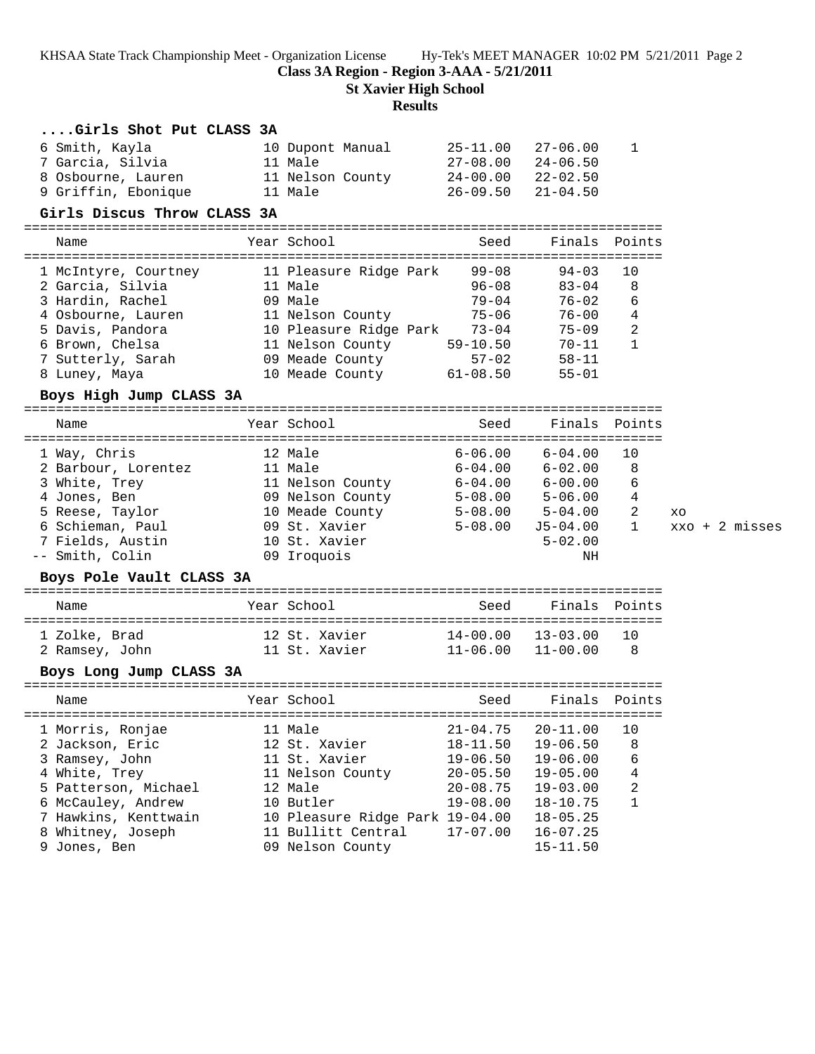KHSAA State Track Championship Meet - Organization License Hy-Tek's MEET MANAGER 10:02 PM 5/21/2011 Page 2

**Class 3A Region - Region 3-AAA - 5/21/2011**

**St Xavier High School**

# **Results**

| Girls Shot Put CLASS 3A<br>6 Smith, Kayla<br>7 Garcia, Silvia<br>8 Osbourne, Lauren<br>9 Griffin, Ebonique<br>Girls Discus Throw CLASS 3A                                         | 10 Dupont Manual<br>11 Male<br>11 Nelson County<br>11 Male                                                                                                                     | 25-11.00<br>27-08.00<br>24-00.00<br>$26 - 09.50$                                                             | 27-06.00<br>24-06.50<br>22-02.50<br>21-04.50                                                                                                 | 1                                      |                                |
|-----------------------------------------------------------------------------------------------------------------------------------------------------------------------------------|--------------------------------------------------------------------------------------------------------------------------------------------------------------------------------|--------------------------------------------------------------------------------------------------------------|----------------------------------------------------------------------------------------------------------------------------------------------|----------------------------------------|--------------------------------|
| ================================<br>Name                                                                                                                                          | Year School                                                                                                                                                                    | Seed                                                                                                         | Finals                                                                                                                                       | Points                                 |                                |
| 1 McIntyre, Courtney<br>2 Garcia, Silvia<br>3 Hardin, Rachel<br>4 Osbourne, Lauren<br>5 Davis, Pandora<br>6 Brown, Chelsa<br>7 Sutterly, Sarah<br>8 Luney, Maya                   | 11 Pleasure Ridge Park<br>11 Male<br>09 Male<br>11 Nelson County<br>10 Pleasure Ridge Park 73-04<br>11 Nelson County<br>09 Meade County<br>10 Meade County 61-08.50            | $99 - 08$<br>$96 - 08$<br>$79 - 04$<br>75-06<br>$59 - 10.50$<br>$57 - 02$                                    | $94 - 03$<br>$83 - 04$<br>$76 - 02$<br>$76 - 00$<br>75-09<br>70-11<br>$58 - 11$<br>$55 - 01$                                                 | 10<br>8<br>6<br>4<br>2<br>$\mathbf{1}$ |                                |
| Boys High Jump CLASS 3A                                                                                                                                                           |                                                                                                                                                                                |                                                                                                              |                                                                                                                                              |                                        |                                |
| Name                                                                                                                                                                              | Year School                                                                                                                                                                    | Seed                                                                                                         | Finals                                                                                                                                       | Points                                 |                                |
| 1 Way, Chris<br>2 Barbour, Lorentez<br>3 White, Trey<br>4 Jones, Ben<br>5 Reese, Taylor<br>6 Schieman, Paul<br>7 Fields, Austin<br>-- Smith, Colin                                | 12 Male<br>11 Male<br>11 Nelson County 6-04.00 6-00.00<br>09 Nelson County 5-08.00 5-06.00<br>10 Meade County 5-08.00 5-04.00<br>09 St. Xavier<br>10 St. Xavier<br>09 Iroquois | $6 - 06.00$<br>$5 - 08.00$                                                                                   | $6 - 04.00$<br>$6 - 04.00$ $6 - 02.00$<br>J5-04.00<br>$5 - 02.00$<br>NH                                                                      | 10<br>8<br>6<br>4<br>2<br>$\mathbf{1}$ | XO<br>$xxo + 2 \text{ misses}$ |
| Boys Pole Vault CLASS 3A                                                                                                                                                          |                                                                                                                                                                                |                                                                                                              |                                                                                                                                              |                                        |                                |
| Name                                                                                                                                                                              | Year School                                                                                                                                                                    | Seed                                                                                                         |                                                                                                                                              | Finals Points                          |                                |
| 1 Zolke, Brad<br>2 Ramsey, John 11 St. Xavier                                                                                                                                     | 12 St. Xavier                                                                                                                                                                  | $11 - 06.00$                                                                                                 | $14 - 00.00$ $13 - 03.00$<br>11-00.00                                                                                                        | 10<br>8                                |                                |
| Boys Long Jump CLASS 3A                                                                                                                                                           |                                                                                                                                                                                |                                                                                                              |                                                                                                                                              |                                        |                                |
| Name                                                                                                                                                                              | Year School                                                                                                                                                                    | Seed                                                                                                         |                                                                                                                                              | Finals Points                          |                                |
| 1 Morris, Ronjae<br>2 Jackson, Eric<br>3 Ramsey, John<br>4 White, Trey<br>5 Patterson, Michael<br>6 McCauley, Andrew<br>7 Hawkins, Kenttwain<br>8 Whitney, Joseph<br>9 Jones, Ben | 11 Male<br>12 St. Xavier<br>11 St. Xavier<br>11 Nelson County<br>12 Male<br>10 Butler<br>10 Pleasure Ridge Park 19-04.00<br>11 Bullitt Central<br>09 Nelson County             | $21 - 04.75$<br>$18 - 11.50$<br>$19 - 06.50$<br>$20 - 05.50$<br>$20 - 08.75$<br>$19 - 08.00$<br>$17 - 07.00$ | $20 - 11.00$<br>$19 - 06.50$<br>$19 - 06.00$<br>$19 - 05.00$<br>$19 - 03.00$<br>$18 - 10.75$<br>$18 - 05.25$<br>$16 - 07.25$<br>$15 - 11.50$ | 10<br>8<br>6<br>4<br>2<br>$\mathbf{1}$ |                                |